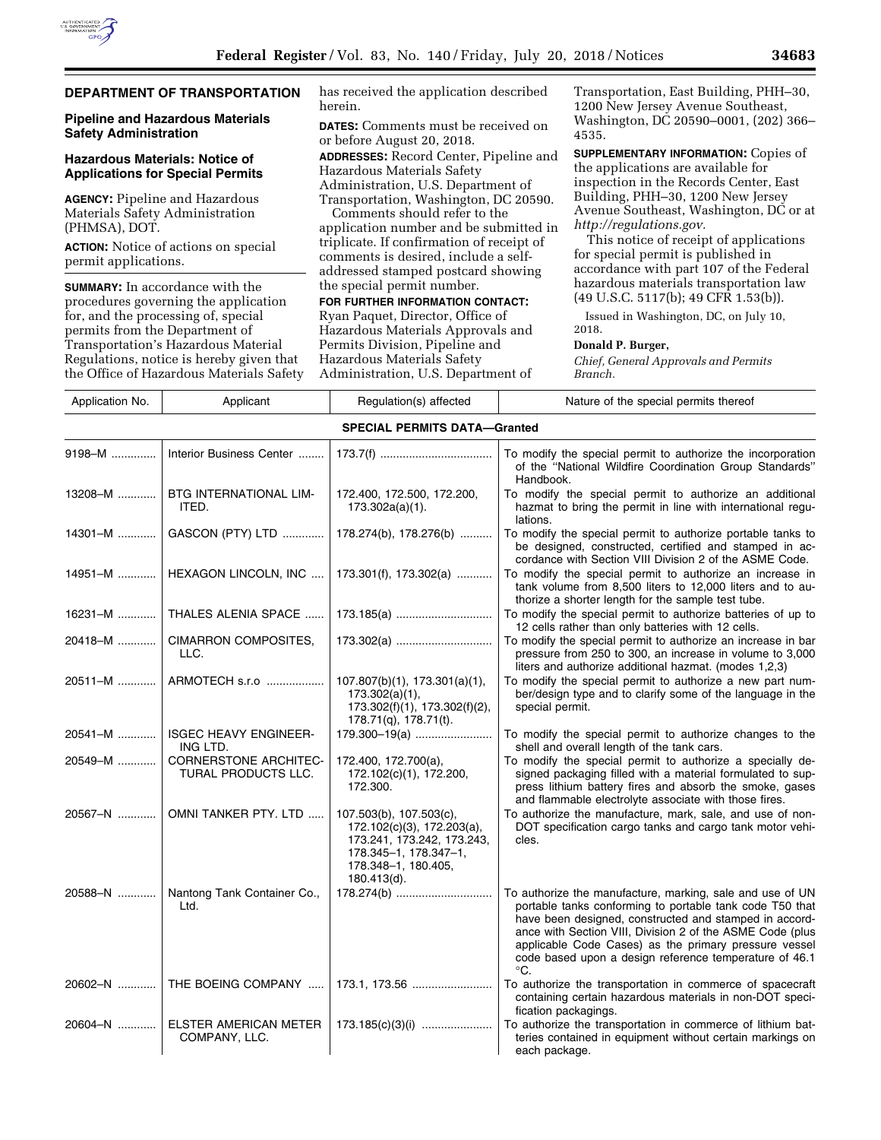# **DEPARTMENT OF TRANSPORTATION**

### **Pipeline and Hazardous Materials Safety Administration**

## **Hazardous Materials: Notice of Applications for Special Permits**

**AGENCY:** Pipeline and Hazardous Materials Safety Administration (PHMSA), DOT.

**ACTION:** Notice of actions on special permit applications.

**SUMMARY:** In accordance with the procedures governing the application for, and the processing of, special permits from the Department of Transportation's Hazardous Material Regulations, notice is hereby given that the Office of Hazardous Materials Safety has received the application described herein.

**DATES:** Comments must be received on or before August 20, 2018.

**ADDRESSES:** Record Center, Pipeline and Hazardous Materials Safety Administration, U.S. Department of

Transportation, Washington, DC 20590. Comments should refer to the

application number and be submitted in triplicate. If confirmation of receipt of comments is desired, include a selfaddressed stamped postcard showing the special permit number.

#### **FOR FURTHER INFORMATION CONTACT:**

Ryan Paquet, Director, Office of Hazardous Materials Approvals and Permits Division, Pipeline and Hazardous Materials Safety Administration, U.S. Department of

Transportation, East Building, PHH–30, 1200 New Jersey Avenue Southeast, Washington, DC 20590–0001, (202) 366– 4535.

**SUPPLEMENTARY INFORMATION:** Copies of the applications are available for inspection in the Records Center, East Building, PHH–30, 1200 New Jersey Avenue Southeast, Washington, DC or at *[http://regulations.gov.](http://regulations.gov)* 

This notice of receipt of applications for special permit is published in accordance with part 107 of the Federal hazardous materials transportation law (49 U.S.C. 5117(b); 49 CFR 1.53(b)).

Issued in Washington, DC, on July 10, 2018.

## **Donald P. Burger,**

*Chief, General Approvals and Permits Branch.* 

| Application No. | Applicant                                    | Regulation(s) affected                                                                                                                             | Nature of the special permits thereof                                                                                                                                                                                                                                                                                                                                           |
|-----------------|----------------------------------------------|----------------------------------------------------------------------------------------------------------------------------------------------------|---------------------------------------------------------------------------------------------------------------------------------------------------------------------------------------------------------------------------------------------------------------------------------------------------------------------------------------------------------------------------------|
|                 |                                              | <b>SPECIAL PERMITS DATA-Granted</b>                                                                                                                |                                                                                                                                                                                                                                                                                                                                                                                 |
| 9198-M          | Interior Business Center                     |                                                                                                                                                    | To modify the special permit to authorize the incorporation<br>of the "National Wildfire Coordination Group Standards"<br>Handbook.                                                                                                                                                                                                                                             |
| 13208-M         | BTG INTERNATIONAL LIM-<br>ITED.              | 172.400, 172.500, 172.200,<br>$173.302a(a)(1)$ .                                                                                                   | To modify the special permit to authorize an additional<br>hazmat to bring the permit in line with international regu-<br>lations.                                                                                                                                                                                                                                              |
| $14301 - M$     | GASCON (PTY) LTD                             | 178.274(b), 178.276(b)                                                                                                                             | To modify the special permit to authorize portable tanks to<br>be designed, constructed, certified and stamped in ac-<br>cordance with Section VIII Division 2 of the ASME Code.                                                                                                                                                                                                |
| 14951-M         | HEXAGON LINCOLN, INC                         | 173.301(f), 173.302(a)                                                                                                                             | To modify the special permit to authorize an increase in<br>tank volume from 8,500 liters to 12,000 liters and to au-<br>thorize a shorter length for the sample test tube.                                                                                                                                                                                                     |
| $16231 - M$     | THALES ALENIA SPACE                          |                                                                                                                                                    | To modify the special permit to authorize batteries of up to<br>12 cells rather than only batteries with 12 cells.                                                                                                                                                                                                                                                              |
| 20418-M         | CIMARRON COMPOSITES,<br>LLC.                 | 173.302(a)                                                                                                                                         | To modify the special permit to authorize an increase in bar<br>pressure from 250 to 300, an increase in volume to 3,000<br>liters and authorize additional hazmat. (modes 1,2,3)                                                                                                                                                                                               |
| 20511-M         | ARMOTECH s.r.o                               | $107.807(b)(1)$ , $173.301(a)(1)$ ,<br>173.302(a)(1),<br>173.302(f)(1), 173.302(f)(2),<br>$178.71(q)$ , $178.71(t)$ .                              | To modify the special permit to authorize a new part num-<br>ber/design type and to clarify some of the language in the<br>special permit.                                                                                                                                                                                                                                      |
| 20541-M         | <b>ISGEC HEAVY ENGINEER-</b><br>ING LTD.     | 179.300-19(a)                                                                                                                                      | To modify the special permit to authorize changes to the<br>shell and overall length of the tank cars.                                                                                                                                                                                                                                                                          |
| 20549-M         | CORNERSTONE ARCHITEC-<br>TURAL PRODUCTS LLC. | 172.400, 172.700(a),<br>172.102(c)(1), 172.200,<br>172.300.                                                                                        | To modify the special permit to authorize a specially de-<br>signed packaging filled with a material formulated to sup-<br>press lithium battery fires and absorb the smoke, gases<br>and flammable electrolyte associate with those fires.                                                                                                                                     |
| 20567-N         | OMNI TANKER PTY. LTD                         | 107.503(b), 107.503(c),<br>172.102(c)(3), 172.203(a),<br>173.241, 173.242, 173.243,<br>178.345-1, 178.347-1,<br>178.348-1, 180.405,<br>180.413(d). | To authorize the manufacture, mark, sale, and use of non-<br>DOT specification cargo tanks and cargo tank motor vehi-<br>cles.                                                                                                                                                                                                                                                  |
| 20588-N         | Nantong Tank Container Co.,<br>Ltd.          | 178.274(b)                                                                                                                                         | To authorize the manufacture, marking, sale and use of UN<br>portable tanks conforming to portable tank code T50 that<br>have been designed, constructed and stamped in accord-<br>ance with Section VIII, Division 2 of the ASME Code (plus<br>applicable Code Cases) as the primary pressure vessel<br>code based upon a design reference temperature of 46.1<br>$^{\circ}C.$ |
| 20602-N         | THE BOEING COMPANY                           |                                                                                                                                                    | To authorize the transportation in commerce of spacecraft<br>containing certain hazardous materials in non-DOT speci-<br>fication packagings.                                                                                                                                                                                                                                   |
| 20604-N         | ELSTER AMERICAN METER<br>COMPANY, LLC.       |                                                                                                                                                    | To authorize the transportation in commerce of lithium bat-<br>teries contained in equipment without certain markings on<br>aach nackaga                                                                                                                                                                                                                                        |

each package.